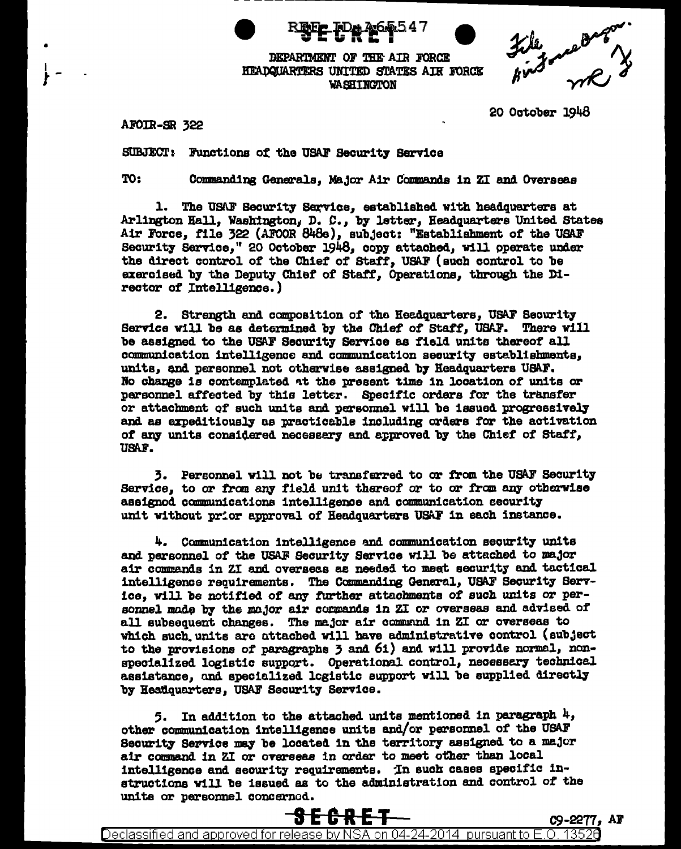

DEPARTMENT OF THE AIR FORCE HEADQUARTERS UNITED STATES AIR FORCE WASHINGTON

file measures

20 October 1948

AFOIR-SR 322

SUBJECT: Functions of the USAF Security Service

TO:

Commanding Generals, Major Air Commands in ZI and Overseas

1. The USAF Security Service, established with headquarters at Arlington Hall, Washington, D. C., by letter, Headquarters United States Air Force, file 322 (AFOOR 848e), subject: "Establishment of the USAF Security Service," 20 October 1948, copy attached, will operate under the direct control of the Chief of Staff, USAF (such control to be exercised by the Deputy Chief of Staff, Operations, through the Director of Intelligence.)

2. Strength and composition of the Headquarters, USAF Security Service will be as determined by the Chief of Staff, USAF. There will be assigned to the USAF Security Service as field units thereof all communication intelligence and communication security establishments, units, and personnel not otherwise assigned by Headquarters USAF. No change is contemplated at the present time in location of units or personnel affected by this letter. Specific orders for the transfer or attachment of such units and personnel will be issued progressively and as expeditiously as practicable including orders for the activation of any units considered necessary and approved by the Chief of Staff, USAF.

3. Personnel will not be transferred to or from the USAF Security Service, to or from any field unit thereof or to or from any otherwise assignod communications intelligence and communication security unit without prior approval of Headquarters USAF in each instance.

4. Communication intelligence and communication security units and personnel of the USAF Security Service will be attached to major air commands in ZI and overseas as needed to meet security and tactical intelligence requirements. The Commanding General, USAF Security Service, will be notified of any further attachments of such units or personnel mode by the mojor air cormands in ZI or overseas and advised of all subsequent changes. The major air command in ZI or overseas to which such units are attached will have administrative control (subject to the provisions of paragraphs 3 and 61) and will provide normal, nonspecialized logistic support. Operational control, necessary technical assistance, and specialized logistic support will be supplied directly by Heatiquarters, USAF Security Service.

5. In addition to the attached units mentioned in paragraph  $4$ , other communication intelligence units and/or personnel of the USAF Security Service may be located in the territory assigned to a major air command in ZI or overseas in order to meet other than local intelligence and security requirements. In such cases specific instructions will be issued as to the administration and control of the units or personnel concerned.

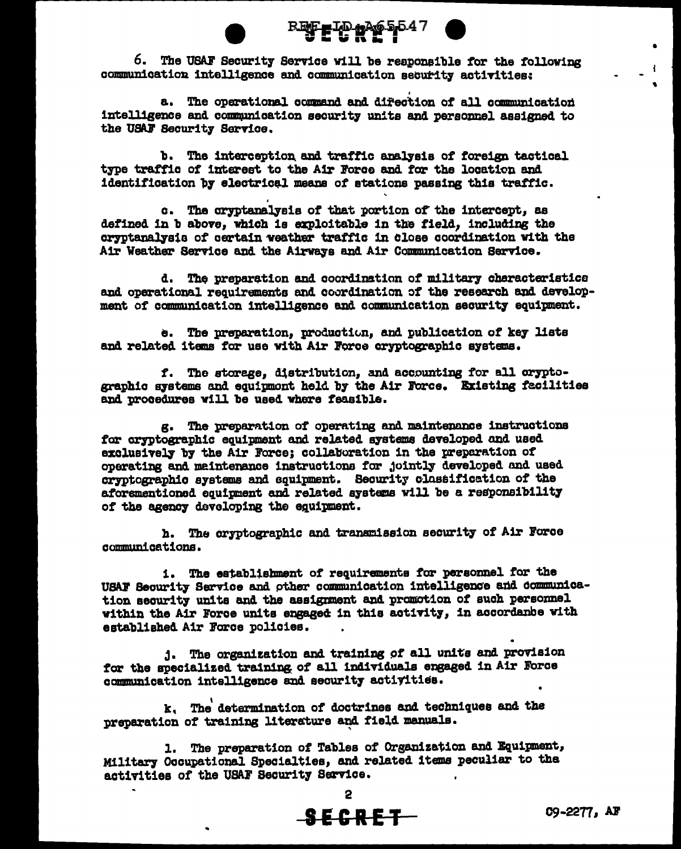

6. The USAF Security Service will be reaponsible for the following communication intelligence and communication security activities:

a. The operational command and direction of all communication intelligence and communication security units and personnel assigned to the USAF Security Service.

b. The interception and traffic analysis of foreign tactical type traffic of interest to the Air Force and for the location and identification by electrical means of stations passing this traffic.

c. The cryptanalysis of that portion of the intercept, as defined in b above. which is exploitable in the field. including the cryptanalysis of certain weather traffic in close coordination with the Air Weather Service and the Airways and Air Communication Service.

d. The preparation and coordination of military characteristics and operational requirements and coordination of the research and development of communication intelligence and communication security equipment.

e. The preparation, production, and publication of key lists and related items for use with Air Force cryptographic systems.

f. The storage, distribution, and accounting for all oryptographic systems and equipmont held by the Air Force. Existing facilities and procedures will be used where feasible.

g. The preparation of operating and maintenance instructions for cryptographic equipment and related systems developed and used exclusively by the Air Force: collaboration in the preparation of operating and maintenance instructions for jointly developed and used cryptographic systems and equipment. Security classification of the aforementioned equipment and related systems will be a responsibility of the agency developing the equipment.

h. The cryptographic and transmission security of Air Force communications.

i. The establishment of requirements for personnel for the USAF Security Service and other communication intelligence and communication security units and the assignment and promotion of such personnel within the Air Force units engaged in this activity, in accordance with established Air Force policies.

1. The organization and training of all units and provision for the specialized training of all individuals engaged in Air Force communication intelligence and security activities.

k. The determination of doctrines and techniques and the preparation of training literature and field manuals.

1. The preparation of Tables of Organization and Equipment, Military Occupational Specialties, and related items peculiar to the activities of the USAF Security Service.

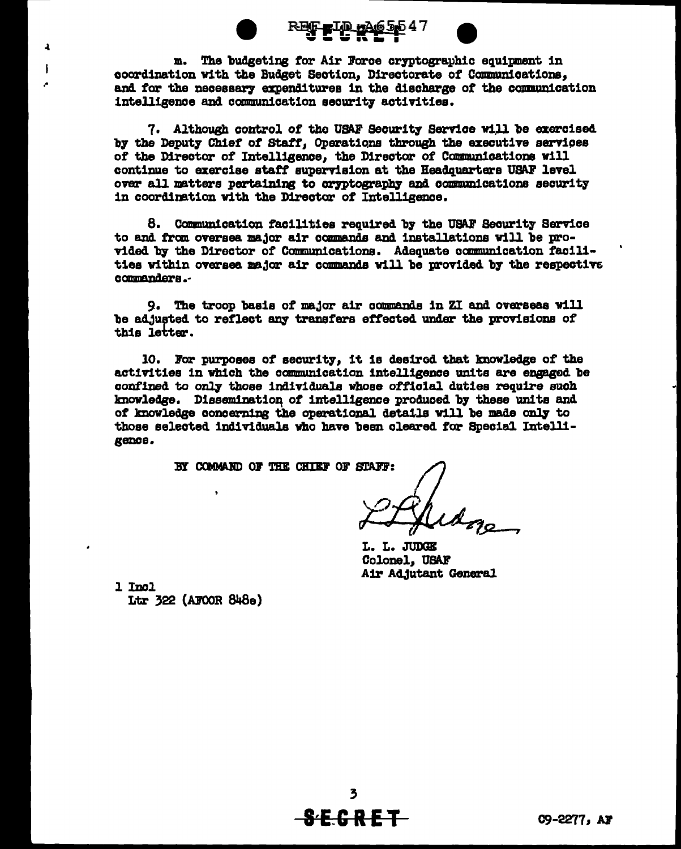-ID нАе

m. The budgeting for Air Force cryptographic equipment in coordination with the Budget Section, Directorate of Communications, and for the necessary expenditures in the discharge of the communication intelligence and communication security activities.

7. Although control of the USAF Security Service will be exercised by the Deputy Chief of Staff, Operations through the executive services of the Director of Intelligence, the Director of Communications will continue to exercise staff supervision at the Headquarters USAF level over all matters pertaining to cryptography and communications security in coordination with the Director of Intelligence.

8. Communication facilities required by the USAF Security Service to and from oversea major air commands and installations will be provided by the Director of Communications. Adequate communication facilities within oversea major air commands will be provided by the respective commanders..

9. The troop basis of major air commands in ZI and overseas will be adjusted to reflect any transfers effected under the provisions of this letter.

10. For purposes of security, it is desired that knowledge of the activities in which the communication intelligence units are engaged be confined to only those individuals whose official duties require such knowledge. Dissemination of intelligence produced by these units and of knowledge concerning the operational details will be made only to those selected individuals who have been cleared for Special Intelligence.

BY COMMAND OF THE CHIEF OF STAFF:

L. L. JUDGE Colonel, USAF Air Adjutant General

1 Incl Ltr  $322$  (AFCOR  $848e$ )

 $\mathbf{r}$ 

 $\mathbf{I}$